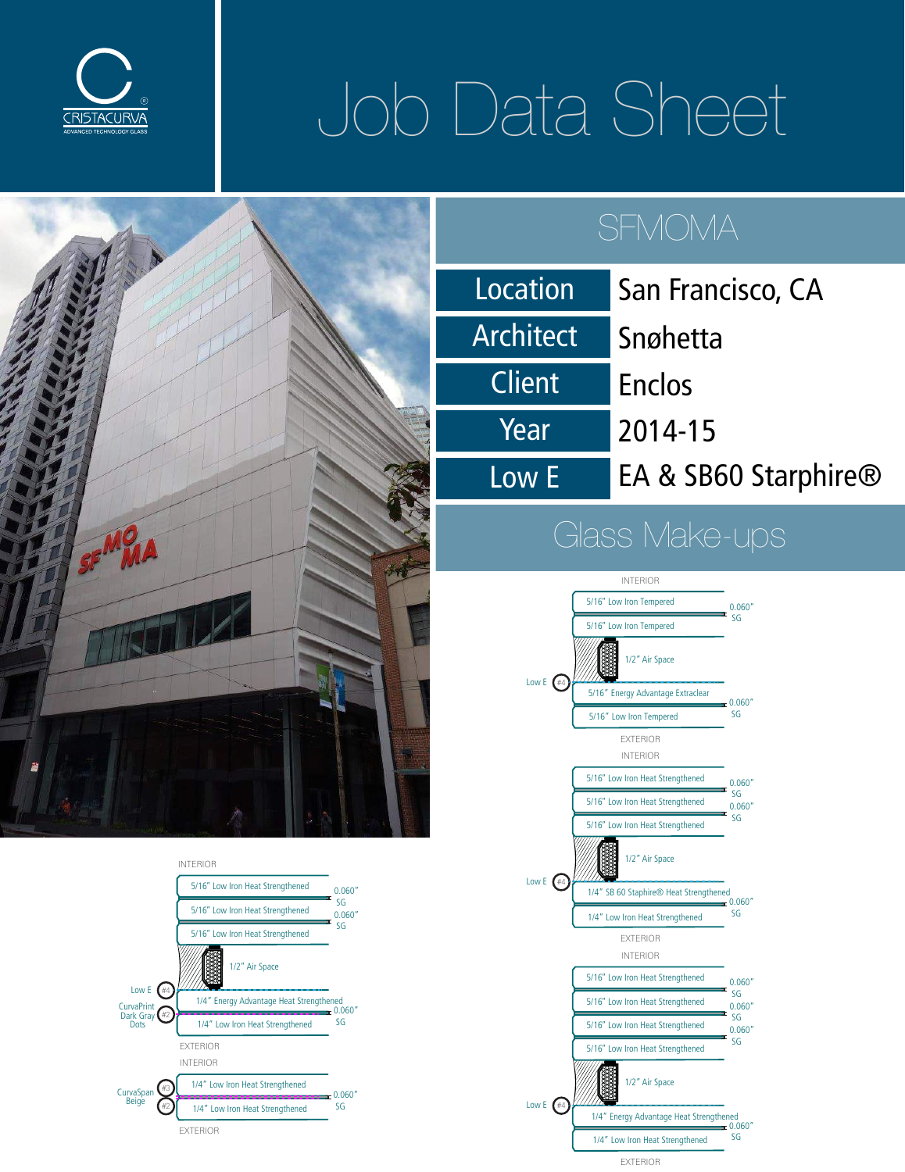

# Job Data Sheet





| Location  | San Francisco, CA    |
|-----------|----------------------|
| Architect | Snøhetta             |
| Client    | <b>Enclos</b>        |
| Year      | 2014-15              |
| Low E     | EA & SB60 Starphire® |

### Glass Make-ups